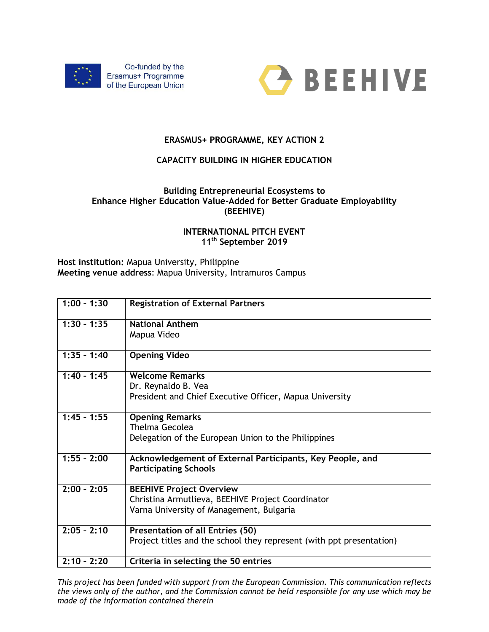



## **ERASMUS+ PROGRAMME, KEY ACTION 2**

## **CAPACITY BUILDING IN HIGHER EDUCATION**

## **Building Entrepreneurial Ecosystems to Enhance Higher Education Value-Added for Better Graduate Employability (BEEHIVE)**

## **INTERNATIONAL PITCH EVENT 11th September 2019**

**Host institution:** Mapua University, Philippine **Meeting venue address**: Mapua University, Intramuros Campus

| $1:00 - 1:30$ | <b>Registration of External Partners</b>                             |
|---------------|----------------------------------------------------------------------|
| $1:30 - 1:35$ | <b>National Anthem</b>                                               |
|               | Mapua Video                                                          |
|               |                                                                      |
| $1:35 - 1:40$ | <b>Opening Video</b>                                                 |
| $1:40 - 1:45$ | <b>Welcome Remarks</b>                                               |
|               | Dr. Reynaldo B. Vea                                                  |
|               | President and Chief Executive Officer, Mapua University              |
|               |                                                                      |
| $1:45 - 1:55$ | <b>Opening Remarks</b>                                               |
|               | Thelma Gecolea                                                       |
|               | Delegation of the European Union to the Philippines                  |
|               |                                                                      |
| $1:55 - 2:00$ | Acknowledgement of External Participants, Key People, and            |
|               | <b>Participating Schools</b>                                         |
|               |                                                                      |
| $2:00 - 2:05$ | <b>BEEHIVE Project Overview</b>                                      |
|               | Christina Armutlieva, BEEHIVE Project Coordinator                    |
|               | Varna University of Management, Bulgaria                             |
|               |                                                                      |
| $2:05 - 2:10$ | <b>Presentation of all Entries (50)</b>                              |
|               | Project titles and the school they represent (with ppt presentation) |
|               |                                                                      |
| $2:10 - 2:20$ | Criteria in selecting the 50 entries                                 |

*This project has been funded with support from the European Commission. This communication reflects the views only of the author, and the Commission cannot be held responsible for any use which may be made of the information contained therein*